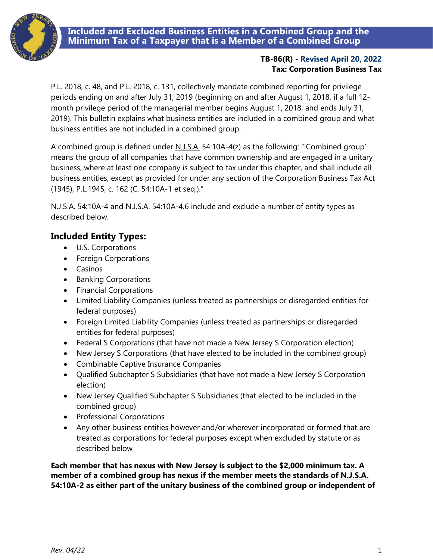**Included and Excluded Business Entities in a Combined Group and the Minimum Tax of a Taxpayer that is a Member of a Combined Group**



#### **TB-86(R) - [Revised April 20, 2022](#page-3-0) Tax: Corporation Business Tax**

P.L. 2018, c. 48, and P.L. 2018, c. 131, collectively mandate combined reporting for privilege periods ending on and after July 31, 2019 (beginning on and after August 1, 2018, if a full 12 month privilege period of the managerial member begins August 1, 2018, and ends July 31, 2019). This bulletin explains what business entities are included in a combined group and what business entities are not included in a combined group.

A combined group is defined under N.J.S.A. 54:10A-4(z) as the following: "'Combined group' means the group of all companies that have common ownership and are engaged in a unitary business, where at least one company is subject to tax under this chapter, and shall include all business entities, except as provided for under any section of the Corporation Business Tax Act (1945), P.L.1945, c. 162 (C. 54:10A-1 et seq.)."

N.J.S.A. 54:10A-4 and N.J.S.A. 54:10A-4.6 include and exclude a number of entity types as described below.

# **Included Entity Types:**

- U.S. Corporations
- Foreign Corporations
- Casinos
- Banking Corporations
- Financial Corporations
- Limited Liability Companies (unless treated as partnerships or disregarded entities for federal purposes)
- Foreign Limited Liability Companies (unless treated as partnerships or disregarded entities for federal purposes)
- Federal S Corporations (that have not made a New Jersey S Corporation election)
- New Jersey S Corporations (that have elected to be included in the combined group)
- Combinable Captive Insurance Companies
- Qualified Subchapter S Subsidiaries (that have not made a New Jersey S Corporation election)
- New Jersey Qualified Subchapter S Subsidiaries (that elected to be included in the combined group)
- Professional Corporations
- Any other business entities however and/or wherever incorporated or formed that are treated as corporations for federal purposes except when excluded by statute or as described below

**Each member that has nexus with New Jersey is subject to the \$2,000 minimum tax. A member of a combined group has nexus if the member meets the standards of N.J.S.A. 54:10A-2 as either part of the unitary business of the combined group or independent of**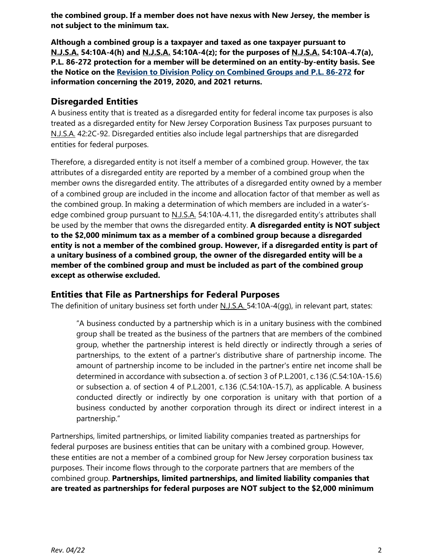**the combined group. If a member does not have nexus with New Jersey, the member is not subject to the minimum tax.** 

**Although a combined group is a taxpayer and taxed as one taxpayer pursuant to N.J.S.A. 54:10A-4(h) and N.J.S.A. 54:10A-4(z); for the purposes of N.J.S.A. 54:10A-4.7(a), P.L. 86-272 protection for a member will be determined on an entity-by-entity basis. See the Notice on the [Revision to Division Policy on Combined Groups and P.L. 86-272](https://www.state.nj.us/treasury/taxation/cbt/combinedgroupsrevision.shtml) for information concerning the 2019, 2020, and 2021 returns.** 

#### **Disregarded Entities**

A business entity that is treated as a disregarded entity for federal income tax purposes is also treated as a disregarded entity for New Jersey Corporation Business Tax purposes pursuant to N.J.S.A. 42:2C-92. Disregarded entities also include legal partnerships that are disregarded entities for federal purposes.

Therefore, a disregarded entity is not itself a member of a combined group. However, the tax attributes of a disregarded entity are reported by a member of a combined group when the member owns the disregarded entity. The attributes of a disregarded entity owned by a member of a combined group are included in the income and allocation factor of that member as well as the combined group. In making a determination of which members are included in a water'sedge combined group pursuant to N.J.S.A. 54:10A-4.11, the disregarded entity's attributes shall be used by the member that owns the disregarded entity. **A disregarded entity is NOT subject to the \$2,000 minimum tax as a member of a combined group because a disregarded entity is not a member of the combined group. However, if a disregarded entity is part of a unitary business of a combined group, the owner of the disregarded entity will be a member of the combined group and must be included as part of the combined group except as otherwise excluded.**

## **Entities that File as Partnerships for Federal Purposes**

The definition of unitary business set forth under N.J.S.A. 54:10A-4(gg), in relevant part, states:

"A business conducted by a partnership which is in a unitary business with the combined group shall be treated as the business of the partners that are members of the combined group, whether the partnership interest is held directly or indirectly through a series of partnerships, to the extent of a partner's distributive share of partnership income. The amount of partnership income to be included in the partner's entire net income shall be determined in accordance with subsection a. of section 3 of P.L.2001, c.136 (C.54:10A-15.6) or subsection a. of section 4 of P.L.2001, c.136 (C.54:10A-15.7), as applicable. A business conducted directly or indirectly by one corporation is unitary with that portion of a business conducted by another corporation through its direct or indirect interest in a partnership."

Partnerships, limited partnerships, or limited liability companies treated as partnerships for federal purposes are business entities that can be unitary with a combined group. However, these entities are not a member of a combined group for New Jersey corporation business tax purposes. Their income flows through to the corporate partners that are members of the combined group. **Partnerships, limited partnerships, and limited liability companies that are treated as partnerships for federal purposes are NOT subject to the \$2,000 minimum**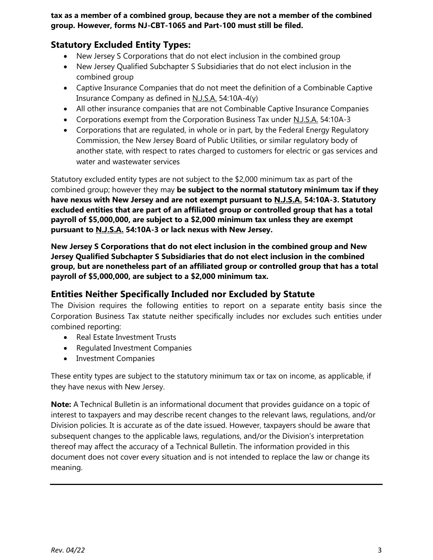**tax as a member of a combined group, because they are not a member of the combined group. However, forms NJ-CBT-1065 and Part-100 must still be filed.**

## **Statutory Excluded Entity Types:**

- New Jersey S Corporations that do not elect inclusion in the combined group
- New Jersey Qualified Subchapter S Subsidiaries that do not elect inclusion in the combined group
- Captive Insurance Companies that do not meet the definition of a Combinable Captive Insurance Company as defined in N.J.S.A. 54:10A-4(y)
- All other insurance companies that are not Combinable Captive Insurance Companies
- Corporations exempt from the Corporation Business Tax under N.J.S.A. 54:10A-3
- Corporations that are regulated, in whole or in part, by the Federal Energy Regulatory Commission, the New Jersey Board of Public Utilities, or similar regulatory body of another state, with respect to rates charged to customers for electric or gas services and water and wastewater services

Statutory excluded entity types are not subject to the \$2,000 minimum tax as part of the combined group; however they may **be subject to the normal statutory minimum tax if they have nexus with New Jersey and are not exempt pursuant to N.J.S.A. 54:10A-3. Statutory excluded entities that are part of an affiliated group or controlled group that has a total payroll of \$5,000,000, are subject to a \$2,000 minimum tax unless they are exempt pursuant to N.J.S.A. 54:10A-3 or lack nexus with New Jersey.**

**New Jersey S Corporations that do not elect inclusion in the combined group and New Jersey Qualified Subchapter S Subsidiaries that do not elect inclusion in the combined group, but are nonetheless part of an affiliated group or controlled group that has a total payroll of \$5,000,000, are subject to a \$2,000 minimum tax.**

## **Entities Neither Specifically Included nor Excluded by Statute**

The Division requires the following entities to report on a separate entity basis since the Corporation Business Tax statute neither specifically includes nor excludes such entities under combined reporting:

- Real Estate Investment Trusts
- Regulated Investment Companies
- Investment Companies

These entity types are subject to the statutory minimum tax or tax on income, as applicable, if they have nexus with New Jersey.

**Note:** A Technical Bulletin is an informational document that provides guidance on a topic of interest to taxpayers and may describe recent changes to the relevant laws, regulations, and/or Division policies. It is accurate as of the date issued. However, taxpayers should be aware that subsequent changes to the applicable laws, regulations, and/or the Division's interpretation thereof may affect the accuracy of a Technical Bulletin. The information provided in this document does not cover every situation and is not intended to replace the law or change its meaning.